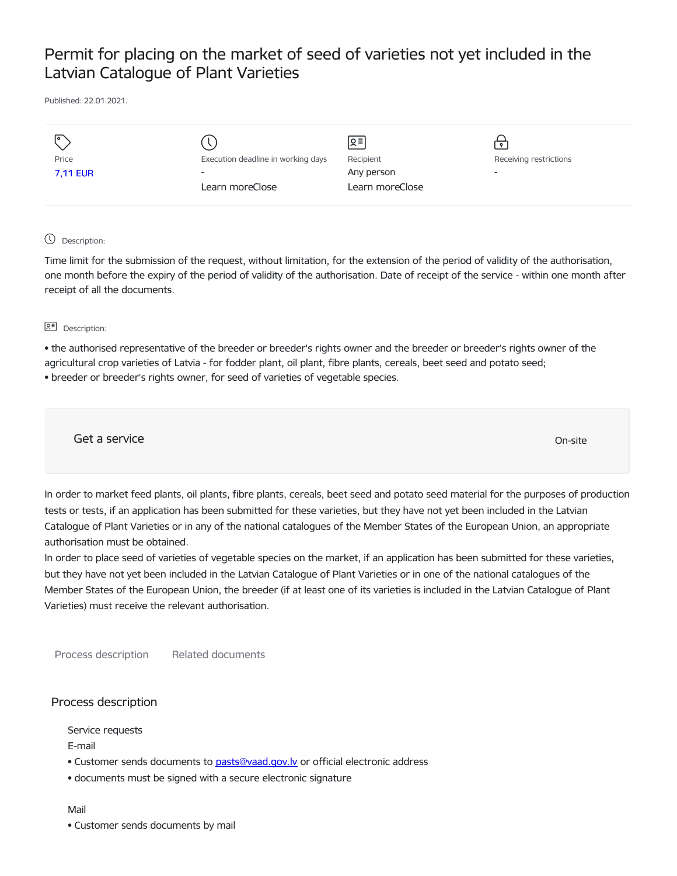# Permit for placing on the market of seed of varieties not yet included in the Latvian Catalogue of Plant Varieties

Published: 22.01.2021.

|                 |                                    | Զ≡              | $\bullet$                |
|-----------------|------------------------------------|-----------------|--------------------------|
| Price           | Execution deadline in working days | Recipient       | Receiving restrictions   |
| <b>7,11 EUR</b> | $\overline{\phantom{a}}$           | Any person      | $\overline{\phantom{a}}$ |
|                 | Learn moreClose                    | Learn moreClose |                          |
|                 |                                    |                 |                          |

#### Description:

Time limit for the submission of the request, without limitation, for the extension of the period of validity of the authorisation, one month before the expiry of the period of validity of the authorisation. Date of receipt of the service - within one month after receipt of all the documents.

**Q<sup></sup> Description:** 

• the authorised representative of the breeder or breeder's rights owner and the breeder or breeder's rights owner of the agricultural crop varieties of Latvia - for fodder plant, oil plant, fibre plants, cereals, beet seed and potato seed;

• breeder or breeder's rights owner, for seed of varieties of vegetable species.

Get a service On-site

In order to market feed plants, oil plants, fibre plants, cereals, beet seed and potato seed material for the purposes of production tests or tests, if an application has been submitted for these varieties, but they have not yet been included in the Latvian Catalogue of Plant Varieties or in any of the national catalogues of the Member States of the European Union, an appropriate authorisation must be obtained.

In order to place seed of varieties of vegetable species on the market, if an application has been submitted for these varieties, but they have not yet been included in the Latvian Catalogue of Plant Varieties or in one of the national catalogues of the Member States of the European Union, the breeder (if at least one of its varieties is included in the Latvian Catalogue of Plant Varieties) must receive the relevant authorisation.

Process description Related documents

## Process description

Service requests

E-mail

- Customer sends documents to [pasts@vaad.gov.lv](mailto:pasts@vaad.gov.lv) or official electronic address
- documents must be signed with a secure electronic signature

#### Mail

• Customer sends documents by mail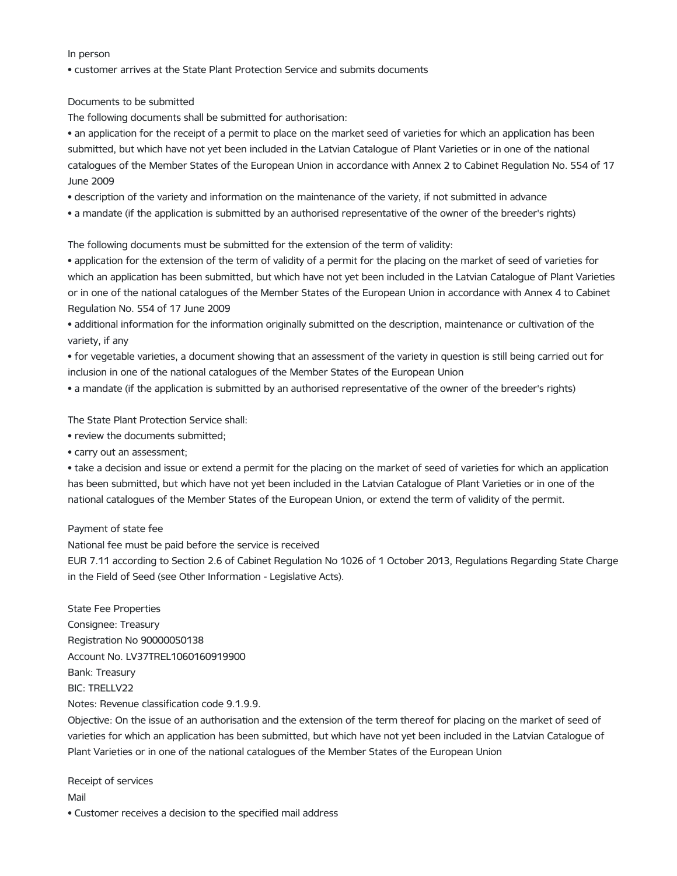In person

• customer arrives at the State Plant Protection Service and submits documents

Documents to be submitted

The following documents shall be submitted for authorisation:

• an application for the receipt of a permit to place on the market seed of varieties for which an application has been submitted, but which have not yet been included in the Latvian Catalogue of Plant Varieties or in one of the national catalogues of the Member States of the European Union in accordance with Annex 2 to Cabinet Regulation No. 554 of 17 June 2009

• description of the variety and information on the maintenance of the variety, if not submitted in advance

• a mandate (if the application is submitted by an authorised representative of the owner of the breeder's rights)

The following documents must be submitted for the extension of the term of validity:

• application for the extension of the term of validity of a permit for the placing on the market of seed of varieties for which an application has been submitted, but which have not yet been included in the Latvian Catalogue of Plant Varieties or in one of the national catalogues of the Member States of the European Union in accordance with Annex 4 to Cabinet Regulation No. 554 of 17 June 2009

• additional information for the information originally submitted on the description, maintenance or cultivation of the variety, if any

• for vegetable varieties, a document showing that an assessment of the variety in question is still being carried out for inclusion in one of the national catalogues of the Member States of the European Union

• a mandate (if the application is submitted by an authorised representative of the owner of the breeder's rights)

The State Plant Protection Service shall:

• review the documents submitted;

• carry out an assessment;

• take a decision and issue or extend a permit for the placing on the market of seed of varieties for which an application has been submitted, but which have not yet been included in the Latvian Catalogue of Plant Varieties or in one of the national catalogues of the Member States of the European Union, or extend the term of validity of the permit.

## Payment of state fee

National fee must be paid before the service is received

EUR 7.11 according to Section 2.6 of Cabinet Regulation No 1026 of 1 October 2013, Regulations Regarding State Charge in the Field of Seed (see Other Information - Legislative Acts).

State Fee Properties Consignee: Treasury Registration No 90000050138 Account No. LV37TREL1060160919900 Bank: Treasury BIC: TRELLV22 Notes: Revenue classification code 9.1.9.9.

Objective: On the issue of an authorisation and the extension of the term thereof for placing on the market of seed of varieties for which an application has been submitted, but which have not yet been included in the Latvian Catalogue of Plant Varieties or in one of the national catalogues of the Member States of the European Union

Receipt of services Mail

• Customer receives a decision to the specified mail address